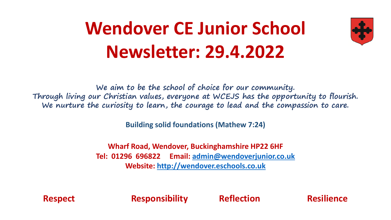## **Wendover CE Junior School Newsletter: 29.4.2022**



**We aim to be the school of choice for our community. Through living our Christian values, everyone at WCEJS has the opportunity to flourish. We nurture the curiosity to learn, the courage to lead and the compassion to care.**

**Building solid foundations (Mathew 7:24)** 

**Wharf Road, Wendover, Buckinghamshire HP22 6HF Tel: 01296 696822 Email: [admin@wendoverjunior.co.uk](mailto:admin@wendoverjunior.co.uk) Website: [http://wendover.eschools.co.uk](http://wendover.eschools.co.uk/)**

**Respect Responsibility Reflection Resilience**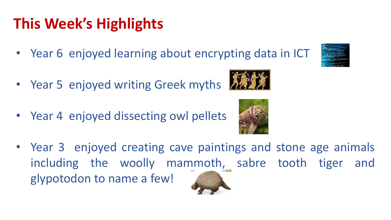## **This Week's Highlights**

- Year 6 enjoyed learning about encrypting data in ICT
- Year 5 enjoyed writing Greek myths
- Year 4 enjoyed dissecting owl pellets





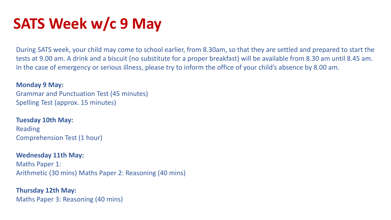### **SATS Week w/c 9 May**

During SATS week, your child may come to school earlier, from 8.30am, so that they are settled and prepared to start the tests at 9.00 am. A drink and a biscuit (no substitute for a proper breakfast) will be available from 8.30 am until 8.45 am. In the case of emergency or serious illness, please try to inform the office of your child's absence by 8.00 am.

#### **Monday 9 May:**

Grammar and Punctuation Test (45 minutes) Spelling Test (approx. 15 minutes)

#### **Tuesday 10th May:**

Reading Comprehension Test (1 hour)

#### **Wednesday 11th May:**

Maths Paper 1: Arithmetic (30 mins) Maths Paper 2: Reasoning (40 mins)

#### **Thursday 12th May:**  Maths Paper 3: Reasoning (40 mins)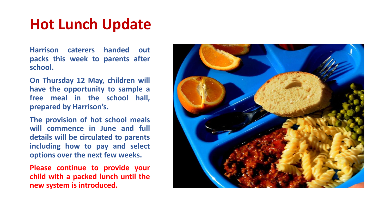#### **Hot Lunch Update**

**Harrison caterers handed out packs this week to parents after school.**

**On Thursday 12 May, children will have the opportunity to sample a free meal in the school hall, prepared by Harrison's.**

**The provision of hot school meals will commence in June and full details will be circulated to parents including how to pay and select options over the next few weeks.**

**Please continue to provide your child with a packed lunch until the new system is introduced.**

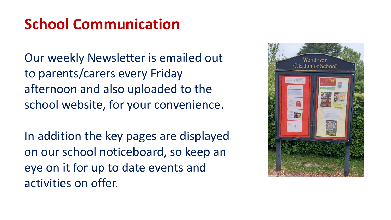### **School Communication**

Our weekly Newsletter is emailed out to parents/carers every Friday afternoon and also uploaded to the school website, for your convenience.

In addition the key pages are displayed on our school noticeboard, so keep an eye on it for up to date events and activities on offer.

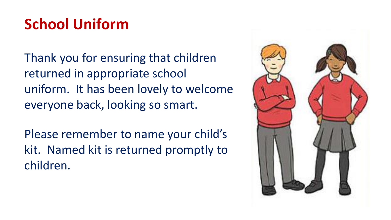### **School Uniform**

Thank you for ensuring that children returned in appropriate school uniform. It has been lovely to welcome everyone back, looking so smart.

Please remember to name your child's kit. Named kit is returned promptly to children.

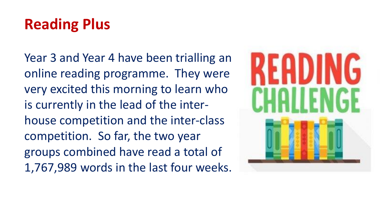### **Reading Plus**

Year 3 and Year 4 have been trialling an online reading programme. They were very excited this morning to learn who is currently in the lead of the interhouse competition and the inter-class competition. So far, the two year groups combined have read a total of 1,767,989 words in the last four weeks.

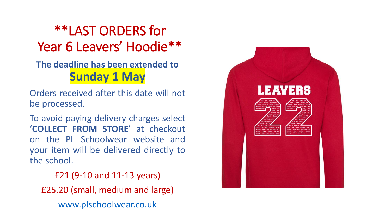#### \*\*LAST ORDERS for Year 6 Leavers' Hoodie\*\*

#### **The deadline has been extended to Sunday 1 May**

Orders received after this date will not be processed.

To avoid paying delivery charges select '**COLLECT FROM STORE**' at checkout on the PL Schoolwear website and your item will be delivered directly to the school.

£21 (9-10 and 11-13 years) £25.20 (small, medium and large) [www.plschoolwear.co.uk](http://www.plschoolwear.co.uk/)

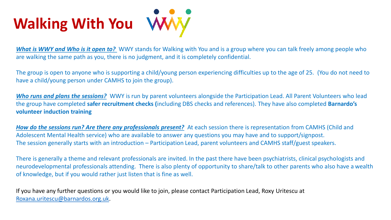# **Walking With You**

*What is WWY and Who is it open to?* WWY stands for Walking with You and is a group where you can talk freely among people who are walking the same path as you, there is no judgment, and it is completely confidential.

The group is open to anyone who is supporting a child/young person experiencing difficulties up to the age of 25. (You do not need to have a child/young person under CAMHS to join the group).

*Who runs and plans the sessions?* WWY is run by parent volunteers alongside the Participation Lead. All Parent Volunteers who lead the group have completed **safer recruitment checks (**including DBS checks and references). They have also completed **Barnardo's volunteer induction training**

*How do the sessions run? Are there any professionals present?* At each session there is representation from CAMHS (Child and Adolescent Mental Health service) who are available to answer any questions you may have and to support/signpost. The session generally starts with an introduction – Participation Lead, parent volunteers and CAMHS staff/guest speakers.

There is generally a theme and relevant professionals are invited. In the past there have been psychiatrists, clinical psychologists and neurodevelopmental professionals attending. There is also plenty of opportunity to share/talk to other parents who also have a wealth of knowledge, but if you would rather just listen that is fine as well.

If you have any further questions or you would like to join, please contact Participation Lead, Roxy Uritescu at [Roxana.uritescu@barnardos.org.uk.](mailto:Roxana.uritescu@barnardos.org.uk)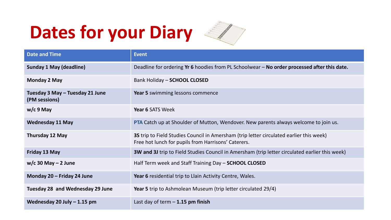# **Dates for your Diary**



| <b>Date and Time</b>                             | <b>Event</b>                                                                                                                                   |
|--------------------------------------------------|------------------------------------------------------------------------------------------------------------------------------------------------|
| <b>Sunday 1 May (deadline)</b>                   | Deadline for ordering Yr 6 hoodies from PL Schoolwear - No order processed after this date.                                                    |
| <b>Monday 2 May</b>                              | Bank Holiday - SCHOOL CLOSED                                                                                                                   |
| Tuesday 3 May - Tuesday 21 June<br>(PM sessions) | Year 5 swimming lessons commence                                                                                                               |
| $w/c$ 9 May                                      | Year 6 SATS Week                                                                                                                               |
| <b>Wednesday 11 May</b>                          | PTA Catch up at Shoulder of Mutton, Wendover. New parents always welcome to join us.                                                           |
| Thursday 12 May                                  | 3S trip to Field Studies Council in Amersham (trip letter circulated earlier this week)<br>Free hot lunch for pupils from Harrisons' Caterers. |
| Friday 13 May                                    | <b>3W and 3J</b> trip to Field Studies Council in Amersham (trip letter circulated earlier this week)                                          |
| $w/c$ 30 May – 2 June                            | Half Term week and Staff Training Day - SCHOOL CLOSED                                                                                          |
| Monday 20 - Friday 24 June                       | Year 6 residential trip to Llain Activity Centre, Wales.                                                                                       |
| <b>Tuesday 28 and Wednesday 29 June</b>          | <b>Year 5</b> trip to Ashmolean Museum (trip letter circulated 29/4)                                                                           |
| Wednesday 20 July $-1.15$ pm                     | Last day of term $-1.15$ pm finish                                                                                                             |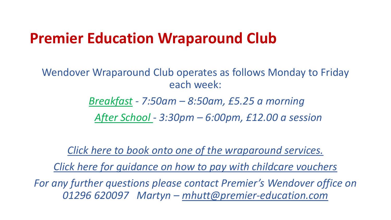#### **Premier Education Wraparound Club**

Wendover Wraparound Club operates as follows Monday to Friday each week:

*Breakfast - 7:50am – 8:50am, £5.25 a morning* 

*After School - 3:30pm – 6:00pm, £12.00 a session*

*[Click here to book onto one of the wraparound services.](https://gbr01.safelinks.protection.outlook.com/?url=https%3A%2F%2Fwww.premier-education.com%2Fparents%2Fvenue%2Fcourses%2F485%2F%3Fschool%3DThomas%2520Harding%2520junior%2520school&data=04%7C01%7Cakempton%40premier-education.com%7Cf627926acba54a12126b08d9e271f878%7C8835ddcdaaad45a4a5114b9182e0554a%7C0%7C0%7C637789801383460515%7CUnknown%7CTWFpbGZsb3d8eyJWIjoiMC4wLjAwMDAiLCJQIjoiV2luMzIiLCJBTiI6Ik1haWwiLCJXVCI6Mn0%3D%7C3000&sdata=g0yrlDns%2FuYUzk3Za8wEYHE3scUPlCNJ1ywdlJ8YNck%3D&reserved=0)*

*[Click here for guidance on how to pay with childcare vouchers](https://drive.google.com/file/d/1sIOSt9kdXV9-f-vi9TLJa4Ut73_i0jV8/view?usp=sharing)*

*For any further questions please contact Premier's Wendover office on 01296 620097 Martyn – [mhutt@premier-education.com](mailto:mhutt@premier-education.com)*